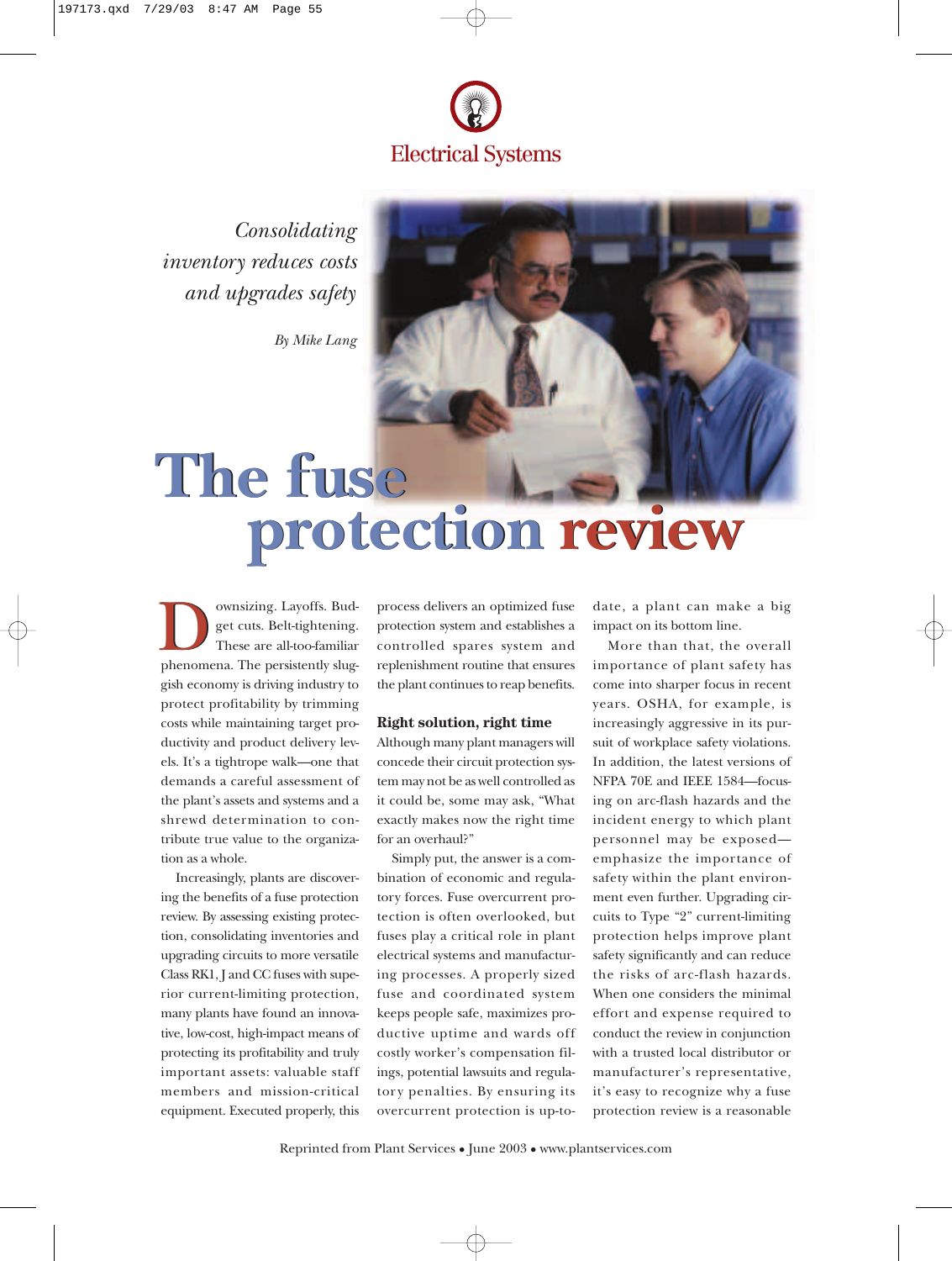

*Consolidating inventory reduces costs and upgrades safety*

*By Mike Lang*



# **The fuse The fuse protection review protection review**

**Downsizing. Layoffs. Budget cuts. Belt-tightening.**<br>These are all-too-familiar phenomena. The persistently slugget cuts. Belt-tightening. These are all-too-familiar gish economy is driving industry to protect profitability by trimming costs while maintaining target productivity and product delivery levels. It's a tightrope walk—one that demands a careful assessment of the plant's assets and systems and a shrewd determination to contribute true value to the organization as a whole.

Increasingly, plants are discovering the benefits of a fuse protection review. By assessing existing protection, consolidating inventories and upgrading circuits to more versatile Class RK1, J and CC fuses with superior current-limiting protection, many plants have found an innovative, low-cost, high-impact means of protecting its profitability and truly important assets: valuable staff members and mission-critical equipment. Executed properly, this

process delivers an optimized fuse protection system and establishes a controlled spares system and replenishment routine that ensures the plant continues to reap benefits.

### **Right solution, right time**

Although many plant managers will concede their circuit protection system may not be as well controlled as it could be, some may ask, "What exactly makes now the right time for an overhaul?"

Simply put, the answer is a combination of economic and regulatory forces. Fuse overcurrent protection is often overlooked, but fuses play a critical role in plant electrical systems and manufacturing processes. A properly sized fuse and coordinated system keeps people safe, maximizes productive uptime and wards off costly worker's compensation filings, potential lawsuits and regulatory penalties. By ensuring its overcurrent protection is up-todate, a plant can make a big impact on its bottom line.

More than that, the overall importance of plant safety has come into sharper focus in recent years. OSHA, for example, is increasingly aggressive in its pursuit of workplace safety violations. In addition, the latest versions of NFPA 70E and IEEE 1584—focusing on arc-flash hazards and the incident energy to which plant personnel may be exposed emphasize the importance of safety within the plant environment even further. Upgrading circuits to Type "2" current-limiting protection helps improve plant safety significantly and can reduce the risks of arc-flash hazards. When one considers the minimal effort and expense required to conduct the review in conjunction with a trusted local distributor or manufacturer's representative, it's easy to recognize why a fuse protection review is a reasonable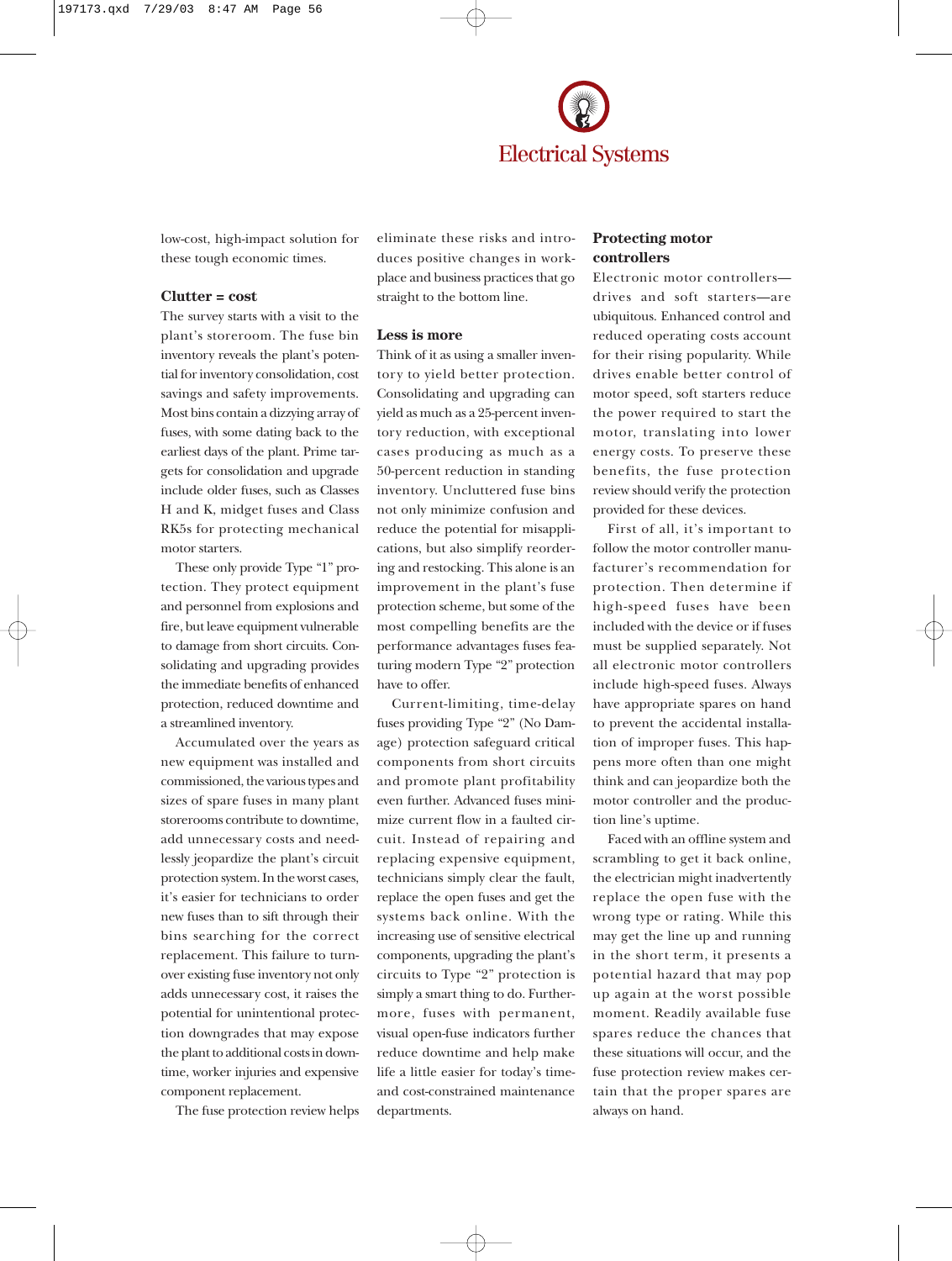

low-cost, high-impact solution for these tough economic times.

#### **Clutter = cost**

The survey starts with a visit to the plant's storeroom. The fuse bin inventory reveals the plant's potential for inventory consolidation, cost savings and safety improvements. Most bins contain a dizzying array of fuses, with some dating back to the earliest days of the plant. Prime targets for consolidation and upgrade include older fuses, such as Classes H and K, midget fuses and Class RK5s for protecting mechanical motor starters.

These only provide Type "1" protection. They protect equipment and personnel from explosions and fire, but leave equipment vulnerable to damage from short circuits. Consolidating and upgrading provides the immediate benefits of enhanced protection, reduced downtime and a streamlined inventory.

Accumulated over the years as new equipment was installed and commissioned, the various types and sizes of spare fuses in many plant storerooms contribute to downtime, add unnecessary costs and needlessly jeopardize the plant's circuit protection system. In the worst cases, it's easier for technicians to order new fuses than to sift through their bins searching for the correct replacement. This failure to turnover existing fuse inventory not only adds unnecessary cost, it raises the potential for unintentional protection downgrades that may expose the plant to additional costs in downtime, worker injuries and expensive component replacement.

The fuse protection review helps

eliminate these risks and introduces positive changes in workplace and business practices that go straight to the bottom line.

#### **Less is more**

Think of it as using a smaller inventory to yield better protection. Consolidating and upgrading can yield as much as a 25-percent inventory reduction, with exceptional cases producing as much as a 50-percent reduction in standing inventory. Uncluttered fuse bins not only minimize confusion and reduce the potential for misapplications, but also simplify reordering and restocking. This alone is an improvement in the plant's fuse protection scheme, but some of the most compelling benefits are the performance advantages fuses featuring modern Type "2" protection have to offer.

Current-limiting, time-delay fuses providing Type "2" (No Damage) protection safeguard critical components from short circuits and promote plant profitability even further. Advanced fuses minimize current flow in a faulted circuit. Instead of repairing and replacing expensive equipment, technicians simply clear the fault, replace the open fuses and get the systems back online. With the increasing use of sensitive electrical components, upgrading the plant's circuits to Type "2" protection is simply a smart thing to do. Furthermore, fuses with permanent, visual open-fuse indicators further reduce downtime and help make life a little easier for today's timeand cost-constrained maintenance departments.

# **Protecting motor controllers**

Electronic motor controllers drives and soft starters—are ubiquitous. Enhanced control and reduced operating costs account for their rising popularity. While drives enable better control of motor speed, soft starters reduce the power required to start the motor, translating into lower energy costs. To preserve these benefits, the fuse protection review should verify the protection provided for these devices.

First of all, it's important to follow the motor controller manufacturer's recommendation for protection. Then determine if high-speed fuses have been included with the device or if fuses must be supplied separately. Not all electronic motor controllers include high-speed fuses. Always have appropriate spares on hand to prevent the accidental installation of improper fuses. This happens more often than one might think and can jeopardize both the motor controller and the production line's uptime.

Faced with an offline system and scrambling to get it back online, the electrician might inadvertently replace the open fuse with the wrong type or rating. While this may get the line up and running in the short term, it presents a potential hazard that may pop up again at the worst possible moment. Readily available fuse spares reduce the chances that these situations will occur, and the fuse protection review makes certain that the proper spares are always on hand.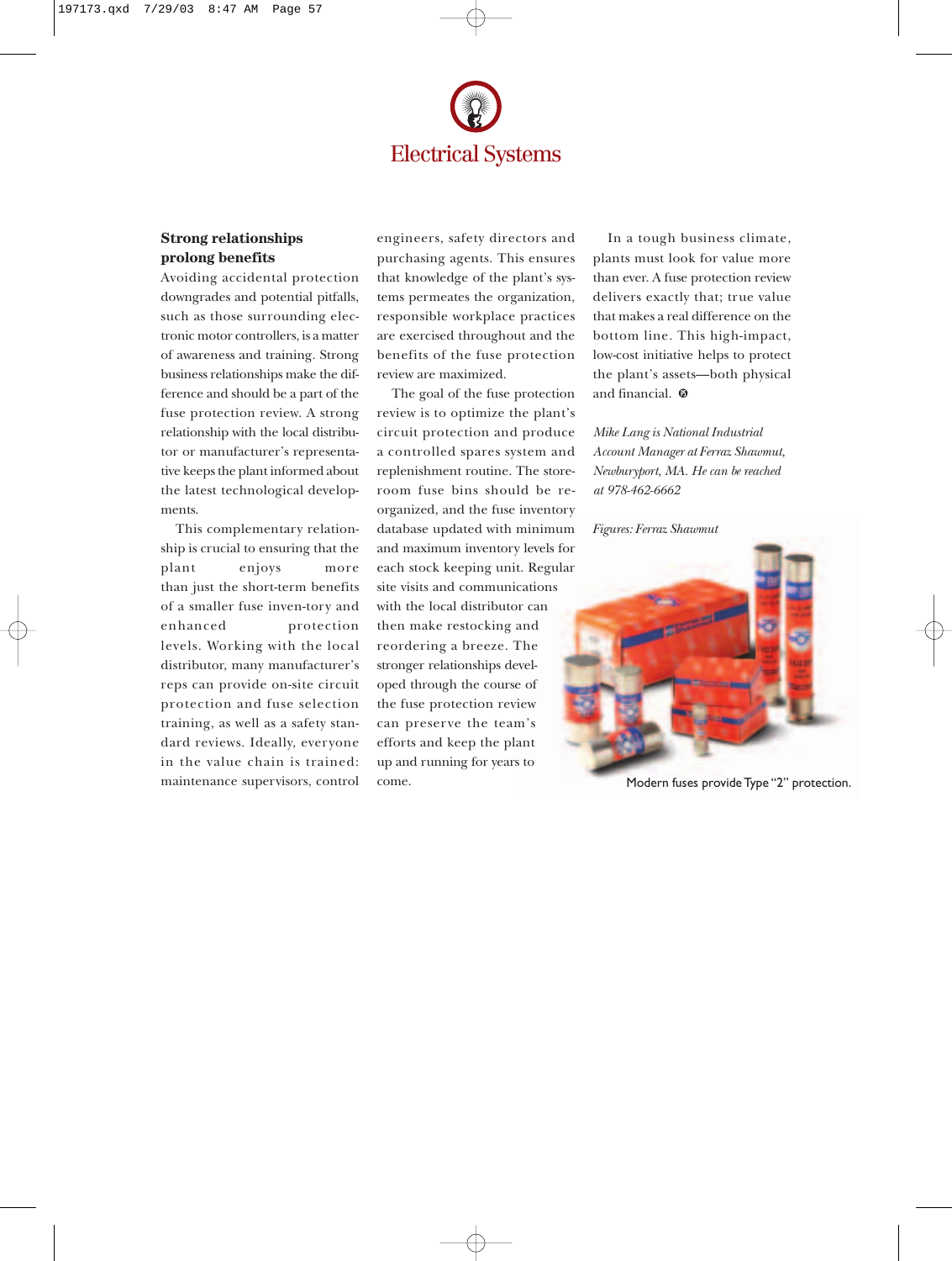

# **Strong relationships prolong benefits**

Avoiding accidental protection downgrades and potential pitfalls, such as those surrounding electronic motor controllers, is a matter of awareness and training. Strong business relationships make the difference and should be a part of the fuse protection review. A strong relationship with the local distributor or manufacturer's representative keeps the plant informed about the latest technological developments.

This complementary relationship is crucial to ensuring that the plant enjoys more than just the short-term benefits of a smaller fuse inven-tory and enhanced protection levels. Working with the local distributor, many manufacturer's reps can provide on-site circuit protection and fuse selection training, as well as a safety standard reviews. Ideally, everyone in the value chain is trained: maintenance supervisors, control

engineers, safety directors and purchasing agents. This ensures that knowledge of the plant's systems permeates the organization, responsible workplace practices are exercised throughout and the benefits of the fuse protection review are maximized.

The goal of the fuse protection review is to optimize the plant's circuit protection and produce a controlled spares system and replenishment routine. The storeroom fuse bins should be reorganized, and the fuse inventory database updated with minimum and maximum inventory levels for each stock keeping unit. Regular site visits and communications with the local distributor can then make restocking and reordering a breeze. The stronger relationships developed through the course of the fuse protection review can preserve the team's efforts and keep the plant up and running for years to come.

In a tough business climate, plants must look for value more than ever. A fuse protection review delivers exactly that; true value that makes a real difference on the bottom line. This high-impact, low-cost initiative helps to protect the plant's assets—both physical and financial.  $\boldsymbol{\mathsf{\odot}}$ 

*Mike Lang is National Industrial Account Manager at Ferraz Shawmut, Newburyport, MA. He can be reached at 978-462-6662*

*Figures: Ferraz Shawmut*



Modern fuses provide Type "2" protection.